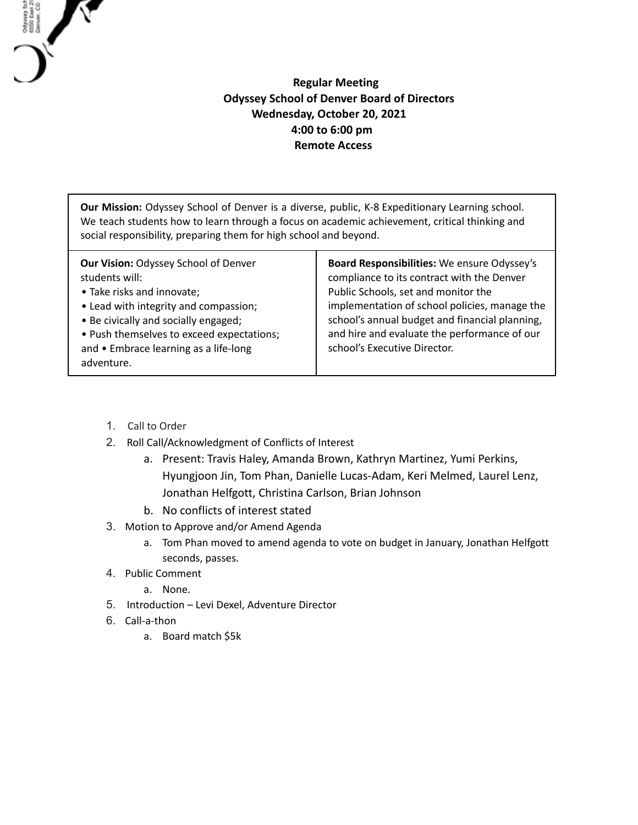## **Regular Meeting Odyssey School of Denver Board of Directors Wednesday, October 20, 2021 4:00 to 6:00 pm Remote Access**

**Our Mission:** Odyssey School of Denver is a diverse, public, K-8 Expeditionary Learning school. We teach students how to learn through a focus on academic achievement, critical thinking and social responsibility, preparing them for high school and beyond.

1. Call to Order

Odysey Sch<br>6550 East 21<br>Denver, CO

- 2. Roll Call/Acknowledgment of Conflicts of Interest
	- a. Present: Travis Haley, Amanda Brown, Kathryn Martinez, Yumi Perkins, Hyungjoon Jin, Tom Phan, Danielle Lucas-Adam, Keri Melmed, Laurel Lenz, Jonathan Helfgott, Christina Carlson, Brian Johnson
	- b. No conflicts of interest stated
- 3. Motion to Approve and/or Amend Agenda
	- a. Tom Phan moved to amend agenda to vote on budget in January, Jonathan Helfgott seconds, passes.
- 4. Public Comment
	- a. None.
- 5. Introduction Levi Dexel, Adventure Director
- 6. Call-a-thon
	- a. Board match \$5k